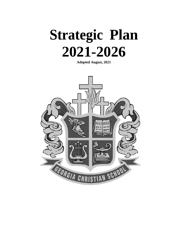

**Adopted August, 2021**

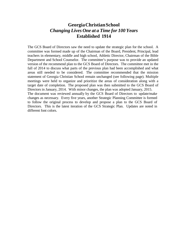#### **GeorgiaChristianSchool** *Changing Lives One at a Time for 100 Years* **Established 1914**

The GCS Board of Directors saw the need to update the strategic plan for the school. A committee was formed made up of the Chairman of the Board, President, Principal, lead teachers in elementary, middle and high school, Athletic Director, Chairman of the Bible Department and School Counselor. The committee's purpose was to provide an updated version of the recommend plan to the GCS Board of Directors. The committee met in the fall of 2014 to discuss what parts of the previous plan had been accomplished and what areas still needed to be considered. The committee recommended that the mission statement of Georgia Christian School remain unchanged (see following page). Multiple meetings were held to organize and prioritize the areas of consideration along with a target date of completion. The proposed plan was then submitted to the GCS Board of Directors in January, 2014. With minor changes, the plan was adopted January, 2015. The document was reviewed annually by the GCS Board of Directors to update/make changes as necessary. Every five years, another Strategic Planning Committee is formed to follow the original process to develop and propose a plan to the GCS Board of Directors. This is the latest iteration of the GCS Strategic Plan. Updates are noted in

different font colors.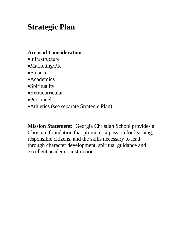# **Strategic Plan**

#### **Areas of Consideration**

- •Infrastructure
- •Marketing/PR
- •Finance
- •Academics
- •Spirituality
- •Extracurricular
- •Personnel
- •Athletics (see separate Strategic Plan)

**Mission Statement:** Georgia Christian School provides a Christian foundation that promotes a passion for learning, responsible citizens, and the skills necessary to lead through character development, spiritual guidance and excellent academic instruction.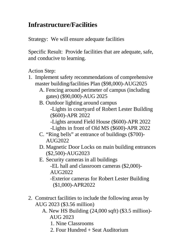### **Infrastructure/Facilities**

Strategy: We will ensure adequate facilities

Specific Result: Provide facilities that are adequate, safe, and conducive to learning.

Action Step:

- 1. Implement safety recommendations of comprehensive master building/facilities Plan (\$98,000)-AUG2025
	- A. Fencing around perimeter of campus (including gates) (\$90,000)-AUG 2025
	- B. Outdoor lighting around campus
		- -Lights in courtyard of Robert Lester Building (\$600)-APR 2022
		- -Lights around Field House (\$600)-APR 2022
		- -Lights in front of Old MS (\$600)-APR 2022
	- C. "Ring bells" at entrance of buildings (\$700)- AUG2022
	- D. Magnetic Door Locks on main building entrances (\$2,500)-AUG2023
	- E. Security cameras in all buildings

-EL hall and classroom cameras (\$2,000)- AUG2022

-Exterior cameras for Robert Lester Building (\$1,000)-APR2022

- 2. Construct facilities to include the following areas by AUG 2023 (\$3.56 million)
	- A. New HS Building (24,000 sqft) (\$3.5 million)- AUG 2023
		- 1. Nine Classrooms
		- 2. Four Hundred + Seat Auditorium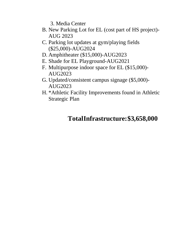3. Media Center

- B. New Parking Lot for EL (cost part of HS project)- AUG 2023
- C. Parking lot updates at gym/playing fields (\$25,000)-AUG2024
- D. Amphitheater (\$15,000)-AUG2023
- E. Shade for EL Playground-AUG2021
- F. Multipurpose indoor space for EL (\$15,000)- AUG2023
- G. Updated/consistent campus signage (\$5,000)- AUG2023
- H. \*Athletic Facility Improvements found in Athletic Strategic Plan

## **TotalInfrastructure:\$3,658,000**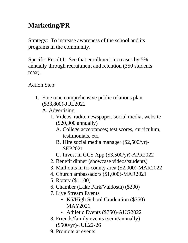## **Marketing/PR**

Strategy: To increase awareness of the school and its programs in the community.

Specific Result I: See that enrollment increases by 5% annually through recruitment and retention (350 students max).

- 1. Fine tune comprehensive public relations plan (\$33,800)-JUL2022
	- A. Advertising
		- 1. Videos, radio, newspaper, social media, website (\$20,000 annually)
			- A. College acceptances; test scores, curriculum, testimonials, etc.
			- B. Hire social media manager (\$2,500/yr)- SEP2021
			- C. Invest in GCS App (\$3,500/yr)-APR2022
		- 2. Benefit dinner (showcase videos/students)
		- 3. Mail outs in tri-county area (\$2,000)-MAR2022
		- 4. Church ambassadors (\$1,000)-MAR2021
		- 5. Rotary (\$1,100)
		- 6. Chamber (Lake Park/Valdosta) (\$200)
		- 7. Live Stream Events
			- K5/High School Graduation (\$350)-MAY2021
			- Athletic Events (\$750)-AUG2022
		- 8. Friends/family events (semi/annually) (\$500/yr)-JUL22-26
		- 9. Promote at events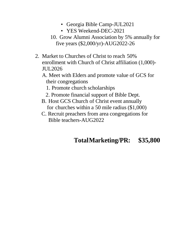- Georgia Bible Camp-JUL2021
- YES Weekend-DEC-2021
- 10. Grow Alumni Association by 5% annually for five years (\$2,000/yr)-AUG2022-26
- 2. Market to Churches of Christ to reach 50% enrollment with Church of Christ affiliation (1,000)- JUL2026
	- A. Meet with Elders and promote value of GCS for their congregations
		- 1. Promote church scholarships
		- 2. Promote financial support of Bible Dept.
	- B. Host GCS Church of Christ event annually for churches within a 50 mile radius (\$1,000)
	- C. Recruit preachers from area congregations for Bible teachers-AUG2022

#### **TotalMarketing/PR: \$35,800**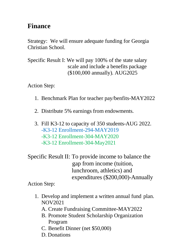#### **Finance**

Strategy: We will ensure adequate funding for Georgia Christian School.

Specific Result I: We will pay 100% of the state salary scale and include a benefits package (\$100,000 annually). AUG2025

Action Step:

- 1. Benchmark Plan for teacher pay/benfits-MAY2022
- 2. Distribute 5% earnings from endowments.
- 3. Fill K3-12 to capacity of 350 students-AUG 2022. -K3-12 Enrollment-294-MAY2019 -K3-12 Enrollment-304-MAY2020 -K3-12 Enrollment-304-May2021

Specific Result II: To provide income to balance the gap from income (tuition, lunchroom, athletics) and expenditures (\$200,000)-Annually

- 1. Develop and implement a written annual fund plan. NOV2021
	- A. Create Fundraising Committee-MAY2022
	- B. Promote Student Scholarship Organization Program
	- C. Benefit Dinner (net \$50,000)
	- D. Donations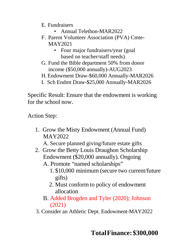- E. Fundraisers
	- Annual Telethon-MAR2022
- F. Parent Volunteer Association (PVA) Cmte-MAY2021
	- Four major fundraisers/year (goal) based on teacher/staff needs)
- G. Fund the Bible department 50% from donor income (\$50,000 annually)-AUG2023
- H.Endowment Draw-\$60,000 Annually-MAR2026
- I. Sch Endmt Draw-\$25,000 Annually-MAR2026

Specific Result: Ensure that the endowment is working for the school now.

Action Step:

1. Grow the Misty Endowment (Annual Fund) MAY2022

A. Secure planned giving/future estate gifts

- 2. Grow the Betty Louis Draughon Scholarship Endowment (\$20,000 annually). Ongoing
	- A. Promote "named scholarships"
		- 1. \$10,000 minimum (secure two current/future gifts)
		- 2. Must conform to policy of endowment allocation
	- B. Added Brogden and Tyler (2020); Johnson (2021)
- 3. Consider an Athletic Dept. Endowment-MAY2022

#### **TotalFinance:\$300,000**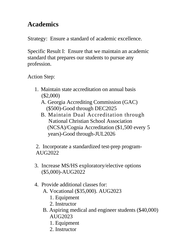#### **Academics**

Strategy: Ensure a standard of academic excellence.

Specific Result I: Ensure that we maintain an academic standard that prepares our students to pursue any profession.

Action Step:

- 1. Maintain state accreditation on annual basis (\$2,000)
	- A. Georgia Accrediting Commission (GAC) (\$500)-Good through DEC2025
	- B. Maintain Dual Accreditation through National Christian School Association (NCSA)/Cognia Accreditation (\$1,500 every 5 years)-Good through-JUL2026

2. Incorporate a standardized test-prep program-AUG2022

- 3. Increase MS/HS exploratory/elective options (\$5,000)-AUG2022
- 4. Provide additional classes for:
	- A. Vocational (\$35,000). AUG2023
		- 1. Equipment
		- 2. Instructor
	- B. Aspiring medical and engineer students (\$40,000) AUG2023
		- 1. Equipment
		- 2. Instructor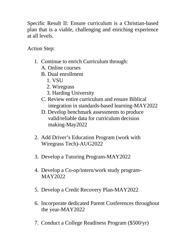Specific Result II: Ensure curriculum is a Christian-based plan that is a viable, challenging and enriching experience at all levels.

- 1. Continue to enrich Curriculum through:
	- A. Online courses
	- B. Dual enrollment
		- 1. VSU
		- 2. Wiregrass
		- 3. Harding University
	- C. Review entire curriculum and ensure Biblical integration in standards-based learning-MAY2022
	- D. Develop benchmark assessments to produce valid/reliable data for curriculum decision making-May2022
- 2. Add Driver's Education Program (work with Wiregrass Tech)-AUG2022
- 3. Develop a Tutoring Program-MAY2022
- 4. Develop a Co-op/intern/work study program-MAY2022
- 5. Develop a Credit Recovery Plan-MAY2022
- 6. Incorporate dedicated Parent Conferences throughout the year-MAY2022
- 7. Conduct a College Readiness Program (\$500/yr)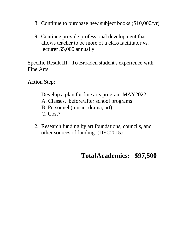- 8. Continue to purchase new subject books (\$10,000/yr)
- 9. Continue provide professional development that allows teacher to be more of a class facilitator vs. lecturer \$5,000 annually

Specific Result III: To Broaden student's experience with Fine Arts

Action Step:

- 1. Develop a plan for fine arts program-MAY2022 A. Classes, before/after school programs B. Personnel (music, drama, art) C. Cost?
- 2. Research funding by art foundations, councils, and other sources of funding. (DEC2015)

#### **TotalAcademics: \$97,500**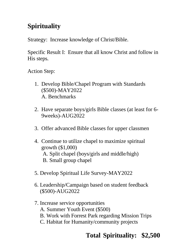## **Spirituality**

Strategy: Increase knowledge of Christ/Bible.

Specific Result I: Ensure that all know Christ and follow in His steps.

Action Step:

- 1. Develop Bible/Chapel Program with Standards (\$500)-MAY2022 A. Benchmarks
- 2. Have separate boys/girls Bible classes (at least for 6- 9weeks)-AUG2022
- 3. Offer advanced Bible classes for upper classmen
- 4. Continue to utilize chapel to maximize spiritual growth (\$1,000) A. Split chapel (boys/girls and middle/high) B. Small group chapel
- 5. Develop Spiritual Life Survey-MAY2022
- 6. Leadership/Campaign based on student feedback (\$500)-AUG2022
- 7. Increase service opportunities
	- A. Summer Youth Event (\$500)
	- B. Work with Forrest Park regarding Mission Trips
	- C. Habitat for Humanity/community projects

## **Total Spirituality: \$2,500**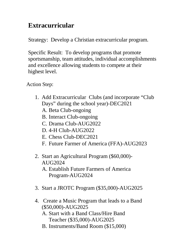### **Extracurricular**

Strategy: Develop a Christian extracurricular program.

Specific Result: To develop programs that promote sportsmanship, team attitudes, individual accomplishments and excellence allowing students to compete at their highest level.

- 1. Add Extracurricular Clubs (and incorporate "Club Days" during the school year)-DEC2021
	- A. Beta Club-ongoing
	- B. Interact Club-ongoing
	- C. Drama Club-AUG2022
	- D. 4-H Club-AUG2022
	- E. Chess Club-DEC2021
	- F. Future Farmer of America (FFA)-AUG2023
- 2. Start an Agricultural Program (\$60,000)- AUG2024
	- A. Establish Future Farmers of America Program-AUG2024
- 3. Start a JROTC Program (\$35,000)-AUG2025
- 4. Create a Music Program that leads to a Band (\$50,000)-AUG2025
	- A. Start with a Band Class/Hire Band Teacher (\$35,000)-AUG2025
	- B. Instruments/Band Room (\$15,000)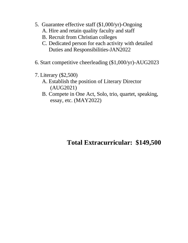- 5. Guarantee effective staff (\$1,000/yr)-Ongoing
	- A. Hire and retain quality faculty and staff
	- B. Recruit from Christian colleges
	- C. Dedicated person for each activity with detailed Duties and Responsibilities-JAN2022
- 6. Start competitive cheerleading (\$1,000/yr)-AUG2023
- 7. Literary (\$2,500)
	- A. Establish the position of Literary Director (AUG2021)
	- B. Compete in One Act, Solo, trio, quartet, speaking, essay, etc. (MAY2022)

#### **Total Extracurricular: \$149,500**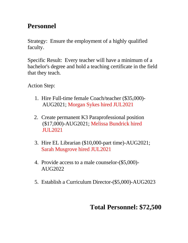### **Personnel**

Strategy: Ensure the employment of a highly qualified faculty.

Specific Result: Every teacher will have a minimum of a bachelor's degree and hold a teaching certificate in the field that they teach.

Action Step:

- 1. Hire Full-time female Coach/teacher (\$35,000)- AUG2021; Morgan Sykes hired JUL2021
- 2. Create permanent K3 Paraprofessional position (\$17,000)-AUG2021; Melissa Bundrick hired JUL2021
- 3. Hire EL Librarian (\$10,000-part time)-AUG2021; Sarah Musgrove hired JUL2021
- 4. Provide access to a male counselor-(\$5,000)- AUG2022
- 5. Establish a Curriculum Director-(\$5,000)-AUG2023

## **Total Personnel: \$72,500**